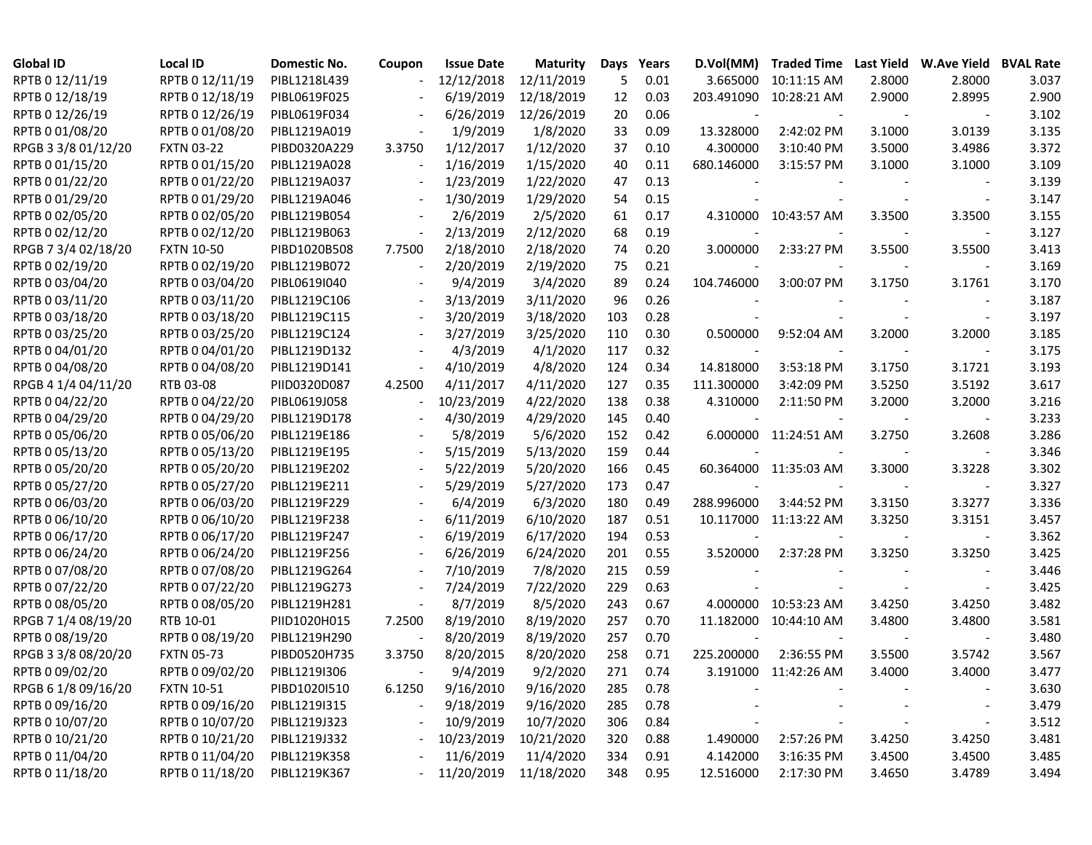| RPTB 0 12/11/19<br>RPTB 0 12/11/19<br>PIBL1218L439<br>12/12/2018<br>12/11/2019<br>5<br>0.01<br>2.8000<br>2.8000<br>3.665000<br>10:11:15 AM<br>3.037<br>RPTB 0 12/18/19<br>RPTB 0 12/18/19<br>PIBL0619F025<br>6/19/2019<br>12/18/2019<br>203.491090<br>10:28:21 AM<br>2.9000<br>2.8995<br>2.900<br>12<br>0.03<br>RPTB 0 12/26/19<br>0.06<br>3.102<br>RPTB 0 12/26/19<br>PIBL0619F034<br>6/26/2019<br>12/26/2019<br>20<br>3.135<br>RPTB 0 01/08/20<br>RPTB 0 01/08/20<br>PIBL1219A019<br>1/9/2019<br>1/8/2020<br>33<br>0.09<br>13.328000<br>2:42:02 PM<br>3.1000<br>3.0139<br>3.5000<br>3.372<br>RPGB 3 3/8 01/12/20<br><b>FXTN 03-22</b><br>PIBD0320A229<br>1/12/2017<br>1/12/2020<br>37<br>0.10<br>4.300000<br>3:10:40 PM<br>3.4986<br>3.3750<br>RPTB 0 01/15/20<br>3.109<br>RPTB 0 01/15/20<br>PIBL1219A028<br>1/16/2019<br>1/15/2020<br>40<br>0.11<br>680.146000<br>3:15:57 PM<br>3.1000<br>3.1000<br>$\overline{\phantom{a}}$ |
|----------------------------------------------------------------------------------------------------------------------------------------------------------------------------------------------------------------------------------------------------------------------------------------------------------------------------------------------------------------------------------------------------------------------------------------------------------------------------------------------------------------------------------------------------------------------------------------------------------------------------------------------------------------------------------------------------------------------------------------------------------------------------------------------------------------------------------------------------------------------------------------------------------------------------------|
|                                                                                                                                                                                                                                                                                                                                                                                                                                                                                                                                                                                                                                                                                                                                                                                                                                                                                                                                  |
|                                                                                                                                                                                                                                                                                                                                                                                                                                                                                                                                                                                                                                                                                                                                                                                                                                                                                                                                  |
|                                                                                                                                                                                                                                                                                                                                                                                                                                                                                                                                                                                                                                                                                                                                                                                                                                                                                                                                  |
|                                                                                                                                                                                                                                                                                                                                                                                                                                                                                                                                                                                                                                                                                                                                                                                                                                                                                                                                  |
|                                                                                                                                                                                                                                                                                                                                                                                                                                                                                                                                                                                                                                                                                                                                                                                                                                                                                                                                  |
|                                                                                                                                                                                                                                                                                                                                                                                                                                                                                                                                                                                                                                                                                                                                                                                                                                                                                                                                  |
| 0.13<br>RPTB 0 01/22/20<br>1/23/2019<br>1/22/2020<br>3.139<br>RPTB 0 01/22/20<br>PIBL1219A037<br>47                                                                                                                                                                                                                                                                                                                                                                                                                                                                                                                                                                                                                                                                                                                                                                                                                              |
| 3.147<br>RPTB 0 01/29/20<br>RPTB 0 01/29/20<br>PIBL1219A046<br>1/30/2019<br>1/29/2020<br>54<br>0.15<br>$\sim$                                                                                                                                                                                                                                                                                                                                                                                                                                                                                                                                                                                                                                                                                                                                                                                                                    |
| RPTB 0 02/05/20<br>2/6/2019<br>2/5/2020<br>3.155<br>RPTB 0 02/05/20<br>PIBL1219B054<br>61<br>0.17<br>4.310000 10:43:57 AM<br>3.3500<br>3.3500<br>$\overline{\phantom{a}}$                                                                                                                                                                                                                                                                                                                                                                                                                                                                                                                                                                                                                                                                                                                                                        |
| 2/13/2019<br>2/12/2020<br>3.127<br>RPTB 0 02/12/20<br>RPTB 0 02/12/20<br>PIBL1219B063<br>68<br>0.19<br>$\blacksquare$                                                                                                                                                                                                                                                                                                                                                                                                                                                                                                                                                                                                                                                                                                                                                                                                            |
| 2/18/2010<br>3.413<br>RPGB 7 3/4 02/18/20<br><b>FXTN 10-50</b><br>PIBD1020B508<br>2/18/2020<br>74<br>0.20<br>3.000000<br>2:33:27 PM<br>3.5500<br>7.7500<br>3.5500                                                                                                                                                                                                                                                                                                                                                                                                                                                                                                                                                                                                                                                                                                                                                                |
| RPTB 0 02/19/20<br>2/20/2019<br>3.169<br>RPTB 0 02/19/20<br>PIBL1219B072<br>2/19/2020<br>0.21<br>75<br>$\overline{\phantom{a}}$                                                                                                                                                                                                                                                                                                                                                                                                                                                                                                                                                                                                                                                                                                                                                                                                  |
| 3/4/2020<br>3.170<br>RPTB 0 03/04/20<br>RPTB 0 03/04/20<br>PIBL0619I040<br>9/4/2019<br>89<br>0.24<br>3.1761<br>104.746000<br>3:00:07 PM<br>3.1750                                                                                                                                                                                                                                                                                                                                                                                                                                                                                                                                                                                                                                                                                                                                                                                |
| RPTB 0 03/11/20<br>3/11/2020<br>3.187<br>RPTB 0 03/11/20<br>PIBL1219C106<br>3/13/2019<br>96<br>0.26                                                                                                                                                                                                                                                                                                                                                                                                                                                                                                                                                                                                                                                                                                                                                                                                                              |
| RPTB 0 03/18/20<br>0.28<br>3.197<br>RPTB 0 03/18/20<br>PIBL1219C115<br>3/20/2019<br>3/18/2020<br>103<br>$\blacksquare$                                                                                                                                                                                                                                                                                                                                                                                                                                                                                                                                                                                                                                                                                                                                                                                                           |
| RPTB 0 03/25/20<br>3.185<br>RPTB 0 03/25/20<br>PIBL1219C124<br>3/27/2019<br>3/25/2020<br>110<br>0.30<br>0.500000<br>3.2000<br>3.2000<br>9:52:04 AM                                                                                                                                                                                                                                                                                                                                                                                                                                                                                                                                                                                                                                                                                                                                                                               |
| RPTB 0 04/01/20<br>RPTB 0 04/01/20<br>4/3/2019<br>4/1/2020<br>0.32<br>3.175<br>PIBL1219D132<br>117<br>$\overline{\phantom{a}}$                                                                                                                                                                                                                                                                                                                                                                                                                                                                                                                                                                                                                                                                                                                                                                                                   |
| RPTB 0 04/08/20<br>RPTB 0 04/08/20<br>4/10/2019<br>4/8/2020<br>124<br>0.34<br>14.818000<br>3.1750<br>3.1721<br>3.193<br>PIBL1219D141<br>3:53:18 PM<br>$\overline{\phantom{a}}$                                                                                                                                                                                                                                                                                                                                                                                                                                                                                                                                                                                                                                                                                                                                                   |
| 3.617<br>RPGB 4 1/4 04/11/20<br>RTB 03-08<br>PIID0320D087<br>4.2500<br>4/11/2017<br>4/11/2020<br>127<br>0.35<br>111.300000<br>3:42:09 PM<br>3.5250<br>3.5192                                                                                                                                                                                                                                                                                                                                                                                                                                                                                                                                                                                                                                                                                                                                                                     |
| RPTB 0 04/22/20<br>0.38<br>3.216<br>RPTB 0 04/22/20<br>PIBL0619J058<br>10/23/2019<br>4/22/2020<br>138<br>4.310000<br>2:11:50 PM<br>3.2000<br>3.2000<br>$\overline{\phantom{a}}$                                                                                                                                                                                                                                                                                                                                                                                                                                                                                                                                                                                                                                                                                                                                                  |
| RPTB 0 04/29/20<br>RPTB 0 04/29/20<br>4/30/2019<br>4/29/2020<br>145<br>0.40<br>3.233<br>PIBL1219D178<br>$\overline{\phantom{a}}$                                                                                                                                                                                                                                                                                                                                                                                                                                                                                                                                                                                                                                                                                                                                                                                                 |
| 3.286<br>RPTB 0 05/06/20<br>RPTB 0 05/06/20<br>PIBL1219E186<br>5/8/2019<br>5/6/2020<br>152<br>0.42<br>6.000000 11:24:51 AM<br>3.2750<br>3.2608                                                                                                                                                                                                                                                                                                                                                                                                                                                                                                                                                                                                                                                                                                                                                                                   |
| RPTB 0 05/13/20<br>5/15/2019<br>5/13/2020<br>3.346<br>RPTB 0 05/13/20<br>PIBL1219E195<br>159<br>0.44                                                                                                                                                                                                                                                                                                                                                                                                                                                                                                                                                                                                                                                                                                                                                                                                                             |
| 5/22/2019<br>60.364000 11:35:03 AM<br>3.302<br>RPTB 0 05/20/20<br>RPTB 0 05/20/20<br>PIBL1219E202<br>5/20/2020<br>166<br>0.45<br>3.3228<br>3.3000                                                                                                                                                                                                                                                                                                                                                                                                                                                                                                                                                                                                                                                                                                                                                                                |
| 5/27/2020<br>3.327<br>RPTB 0 05/27/20<br>RPTB 0 05/27/20<br>5/29/2019<br>173<br>0.47<br>PIBL1219E211                                                                                                                                                                                                                                                                                                                                                                                                                                                                                                                                                                                                                                                                                                                                                                                                                             |
| 3.336<br>RPTB 0 06/03/20<br>RPTB 0 06/03/20<br>6/4/2019<br>6/3/2020<br>180<br>0.49<br>288.996000<br>3:44:52 PM<br>3.3150<br>3.3277<br>PIBL1219F229                                                                                                                                                                                                                                                                                                                                                                                                                                                                                                                                                                                                                                                                                                                                                                               |
| 3.457<br>RPTB 0 06/10/20<br>RPTB 0 06/10/20<br>PIBL1219F238<br>6/11/2019<br>6/10/2020<br>187<br>0.51<br>10.117000<br>11:13:22 AM<br>3.3250<br>3.3151                                                                                                                                                                                                                                                                                                                                                                                                                                                                                                                                                                                                                                                                                                                                                                             |
| RPTB 0 06/17/20<br>RPTB 0 06/17/20<br>PIBL1219F247<br>6/19/2019<br>6/17/2020<br>194<br>0.53<br>3.362                                                                                                                                                                                                                                                                                                                                                                                                                                                                                                                                                                                                                                                                                                                                                                                                                             |
| 0.55<br>3.425<br>RPTB 0 06/24/20<br>RPTB 0 06/24/20<br>PIBL1219F256<br>6/26/2019<br>6/24/2020<br>201<br>3.520000<br>2:37:28 PM<br>3.3250<br>3.3250                                                                                                                                                                                                                                                                                                                                                                                                                                                                                                                                                                                                                                                                                                                                                                               |
| 0.59<br>3.446<br>RPTB 0 07/08/20<br>RPTB 0 07/08/20<br>PIBL1219G264<br>7/10/2019<br>7/8/2020<br>215                                                                                                                                                                                                                                                                                                                                                                                                                                                                                                                                                                                                                                                                                                                                                                                                                              |
| 0.63<br>3.425<br>RPTB 0 07/22/20<br>RPTB 0 07/22/20<br>PIBL1219G273<br>7/24/2019<br>7/22/2020<br>229<br>$\overline{\phantom{a}}$                                                                                                                                                                                                                                                                                                                                                                                                                                                                                                                                                                                                                                                                                                                                                                                                 |
| 3.482<br>RPTB 0 08/05/20<br>RPTB 0 08/05/20<br>8/7/2019<br>8/5/2020<br>0.67<br>4.000000 10:53:23 AM<br>3.4250<br>PIBL1219H281<br>243<br>3.4250<br>$\overline{\phantom{a}}$                                                                                                                                                                                                                                                                                                                                                                                                                                                                                                                                                                                                                                                                                                                                                       |
| 3.581<br>RPGB 7 1/4 08/19/20<br>RTB 10-01<br>PIID1020H015<br>8/19/2010<br>8/19/2020<br>257<br>0.70<br>11.182000 10:44:10 AM<br>3.4800<br>3.4800<br>7.2500                                                                                                                                                                                                                                                                                                                                                                                                                                                                                                                                                                                                                                                                                                                                                                        |
| RPTB 0 08/19/20<br>RPTB 0 08/19/20<br>8/19/2020<br>3.480<br>PIBL1219H290<br>8/20/2019<br>257<br>0.70                                                                                                                                                                                                                                                                                                                                                                                                                                                                                                                                                                                                                                                                                                                                                                                                                             |
| 0.71<br>3.567<br>RPGB 3 3/8 08/20/20<br><b>FXTN 05-73</b><br>PIBD0520H735<br>3.3750<br>8/20/2015<br>8/20/2020<br>258<br>225.200000<br>2:36:55 PM<br>3.5500<br>3.5742                                                                                                                                                                                                                                                                                                                                                                                                                                                                                                                                                                                                                                                                                                                                                             |
| RPTB 0 09/02/20<br>3.477<br>RPTB 0 09/02/20<br>PIBL1219I306<br>9/4/2019<br>9/2/2020<br>271<br>0.74<br>3.191000 11:42:26 AM<br>3.4000<br>3.4000                                                                                                                                                                                                                                                                                                                                                                                                                                                                                                                                                                                                                                                                                                                                                                                   |
| RPGB 6 1/8 09/16/20<br><b>FXTN 10-51</b><br>9/16/2010<br>9/16/2020<br>3.630<br>PIBD10201510<br>6.1250<br>285<br>0.78                                                                                                                                                                                                                                                                                                                                                                                                                                                                                                                                                                                                                                                                                                                                                                                                             |
| RPTB 0 09/16/20<br>RPTB 0 09/16/20<br>9/18/2019<br>9/16/2020<br>3.479<br>PIBL1219I315<br>285<br>0.78                                                                                                                                                                                                                                                                                                                                                                                                                                                                                                                                                                                                                                                                                                                                                                                                                             |
| RPTB 0 10/07/20<br>RPTB 0 10/07/20<br>10/9/2019<br>10/7/2020<br>3.512<br>PIBL1219J323<br>306<br>0.84                                                                                                                                                                                                                                                                                                                                                                                                                                                                                                                                                                                                                                                                                                                                                                                                                             |
| RPTB 0 10/21/20<br>RPTB 0 10/21/20<br>10/23/2019<br>10/21/2020<br>3.481<br>PIBL1219J332<br>320<br>0.88<br>2:57:26 PM<br>3.4250<br>3.4250<br>1.490000                                                                                                                                                                                                                                                                                                                                                                                                                                                                                                                                                                                                                                                                                                                                                                             |
| RPTB 0 11/04/20<br>RPTB 0 11/04/20<br>11/6/2019<br>11/4/2020<br>0.91<br>4.142000<br>3.485<br>PIBL1219K358<br>334<br>3:16:35 PM<br>3.4500<br>3.4500                                                                                                                                                                                                                                                                                                                                                                                                                                                                                                                                                                                                                                                                                                                                                                               |
| RPTB 0 11/18/20<br>RPTB 0 11/18/20<br>11/20/2019<br>11/18/2020<br>348<br>12.516000<br>2:17:30 PM<br>3.4650<br>3.4789<br>3.494<br>PIBL1219K367<br>0.95                                                                                                                                                                                                                                                                                                                                                                                                                                                                                                                                                                                                                                                                                                                                                                            |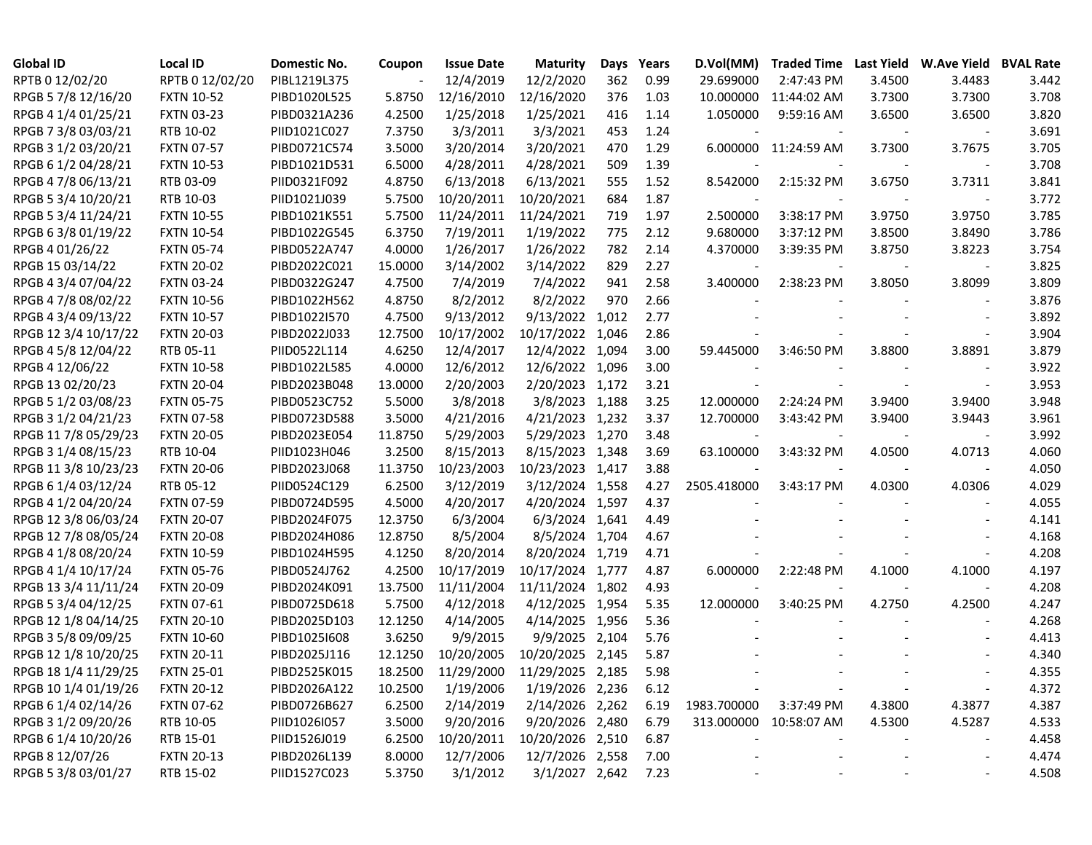| <b>Global ID</b>     | <b>Local ID</b>   | Domestic No. | Coupon  | <b>Issue Date</b> | <b>Maturity</b>  | Days  | Years | D.Vol(MM)              | Traded Time Last Yield W.Ave Yield BVAL Rate |        |                          |       |
|----------------------|-------------------|--------------|---------|-------------------|------------------|-------|-------|------------------------|----------------------------------------------|--------|--------------------------|-------|
| RPTB 0 12/02/20      | RPTB 0 12/02/20   | PIBL1219L375 |         | 12/4/2019         | 12/2/2020        | 362   | 0.99  | 29.699000              | 2:47:43 PM                                   | 3.4500 | 3.4483                   | 3.442 |
| RPGB 5 7/8 12/16/20  | <b>FXTN 10-52</b> | PIBD1020L525 | 5.8750  | 12/16/2010        | 12/16/2020       | 376   | 1.03  | 10.000000              | 11:44:02 AM                                  | 3.7300 | 3.7300                   | 3.708 |
| RPGB 4 1/4 01/25/21  | <b>FXTN 03-23</b> | PIBD0321A236 | 4.2500  | 1/25/2018         | 1/25/2021        | 416   | 1.14  | 1.050000               | 9:59:16 AM                                   | 3.6500 | 3.6500                   | 3.820 |
| RPGB 7 3/8 03/03/21  | RTB 10-02         | PIID1021C027 | 7.3750  | 3/3/2011          | 3/3/2021         | 453   | 1.24  |                        |                                              |        |                          | 3.691 |
| RPGB 3 1/2 03/20/21  | <b>FXTN 07-57</b> | PIBD0721C574 | 3.5000  | 3/20/2014         | 3/20/2021        | 470   | 1.29  |                        | 6.000000 11:24:59 AM                         | 3.7300 | 3.7675                   | 3.705 |
| RPGB 6 1/2 04/28/21  | <b>FXTN 10-53</b> | PIBD1021D531 | 6.5000  | 4/28/2011         | 4/28/2021        | 509   | 1.39  |                        |                                              |        |                          | 3.708 |
| RPGB 4 7/8 06/13/21  | RTB 03-09         | PIID0321F092 | 4.8750  | 6/13/2018         | 6/13/2021        | 555   | 1.52  | 8.542000               | 2:15:32 PM                                   | 3.6750 | 3.7311                   | 3.841 |
| RPGB 5 3/4 10/20/21  | RTB 10-03         | PIID1021J039 | 5.7500  | 10/20/2011        | 10/20/2021       | 684   | 1.87  |                        |                                              |        | $\overline{\phantom{a}}$ | 3.772 |
| RPGB 5 3/4 11/24/21  | <b>FXTN 10-55</b> | PIBD1021K551 | 5.7500  | 11/24/2011        | 11/24/2021       | 719   | 1.97  | 2.500000               | 3:38:17 PM                                   | 3.9750 | 3.9750                   | 3.785 |
| RPGB 6 3/8 01/19/22  | <b>FXTN 10-54</b> | PIBD1022G545 | 6.3750  | 7/19/2011         | 1/19/2022        | 775   | 2.12  | 9.680000               | 3:37:12 PM                                   | 3.8500 | 3.8490                   | 3.786 |
| RPGB 4 01/26/22      | <b>FXTN 05-74</b> | PIBD0522A747 | 4.0000  | 1/26/2017         | 1/26/2022        | 782   | 2.14  | 4.370000               | 3:39:35 PM                                   | 3.8750 | 3.8223                   | 3.754 |
| RPGB 15 03/14/22     | <b>FXTN 20-02</b> | PIBD2022C021 | 15.0000 | 3/14/2002         | 3/14/2022        | 829   | 2.27  |                        |                                              |        |                          | 3.825 |
| RPGB 4 3/4 07/04/22  | <b>FXTN 03-24</b> | PIBD0322G247 | 4.7500  | 7/4/2019          | 7/4/2022         | 941   | 2.58  | 3.400000               | 2:38:23 PM                                   | 3.8050 | 3.8099                   | 3.809 |
| RPGB 4 7/8 08/02/22  | <b>FXTN 10-56</b> | PIBD1022H562 | 4.8750  | 8/2/2012          | 8/2/2022         | 970   | 2.66  |                        |                                              |        | $\overline{\phantom{a}}$ | 3.876 |
| RPGB 4 3/4 09/13/22  | <b>FXTN 10-57</b> | PIBD1022I570 | 4.7500  | 9/13/2012         | 9/13/2022        | 1,012 | 2.77  |                        |                                              |        |                          | 3.892 |
| RPGB 12 3/4 10/17/22 | <b>FXTN 20-03</b> | PIBD2022J033 | 12.7500 | 10/17/2002        | 10/17/2022       | 1,046 | 2.86  |                        |                                              |        |                          | 3.904 |
| RPGB 4 5/8 12/04/22  | RTB 05-11         | PIID0522L114 | 4.6250  | 12/4/2017         | 12/4/2022 1,094  |       | 3.00  | 59.445000              | 3:46:50 PM                                   | 3.8800 | 3.8891                   | 3.879 |
| RPGB 4 12/06/22      | <b>FXTN 10-58</b> | PIBD1022L585 | 4.0000  | 12/6/2012         | 12/6/2022 1,096  |       | 3.00  |                        |                                              |        |                          | 3.922 |
| RPGB 13 02/20/23     | <b>FXTN 20-04</b> | PIBD2023B048 | 13.0000 | 2/20/2003         | 2/20/2023 1,172  |       | 3.21  |                        |                                              |        | $\overline{\phantom{a}}$ | 3.953 |
| RPGB 5 1/2 03/08/23  | <b>FXTN 05-75</b> | PIBD0523C752 | 5.5000  | 3/8/2018          | 3/8/2023 1,188   |       | 3.25  | 12.000000              | 2:24:24 PM                                   | 3.9400 | 3.9400                   | 3.948 |
| RPGB 3 1/2 04/21/23  | <b>FXTN 07-58</b> | PIBD0723D588 | 3.5000  | 4/21/2016         | 4/21/2023 1,232  |       | 3.37  | 12.700000              | 3:43:42 PM                                   | 3.9400 | 3.9443                   | 3.961 |
| RPGB 11 7/8 05/29/23 | <b>FXTN 20-05</b> | PIBD2023E054 | 11.8750 | 5/29/2003         | 5/29/2023 1,270  |       | 3.48  |                        |                                              |        | $\overline{\phantom{a}}$ | 3.992 |
| RPGB 3 1/4 08/15/23  | RTB 10-04         | PIID1023H046 | 3.2500  | 8/15/2013         | 8/15/2023 1,348  |       | 3.69  | 63.100000              | 3:43:32 PM                                   | 4.0500 | 4.0713                   | 4.060 |
| RPGB 11 3/8 10/23/23 | <b>FXTN 20-06</b> | PIBD2023J068 | 11.3750 | 10/23/2003        | 10/23/2023 1,417 |       | 3.88  |                        |                                              |        | $\overline{\phantom{a}}$ | 4.050 |
| RPGB 6 1/4 03/12/24  | RTB 05-12         | PIID0524C129 | 6.2500  | 3/12/2019         | 3/12/2024 1,558  |       | 4.27  | 2505.418000            | 3:43:17 PM                                   | 4.0300 | 4.0306                   | 4.029 |
| RPGB 4 1/2 04/20/24  | <b>FXTN 07-59</b> | PIBD0724D595 | 4.5000  | 4/20/2017         | 4/20/2024 1,597  |       | 4.37  |                        |                                              |        |                          | 4.055 |
| RPGB 12 3/8 06/03/24 | <b>FXTN 20-07</b> | PIBD2024F075 | 12.3750 | 6/3/2004          | 6/3/2024 1,641   |       | 4.49  |                        |                                              |        |                          | 4.141 |
| RPGB 12 7/8 08/05/24 | <b>FXTN 20-08</b> | PIBD2024H086 | 12.8750 | 8/5/2004          | 8/5/2024 1,704   |       | 4.67  |                        |                                              |        |                          | 4.168 |
| RPGB 4 1/8 08/20/24  | <b>FXTN 10-59</b> | PIBD1024H595 | 4.1250  | 8/20/2014         | 8/20/2024 1,719  |       | 4.71  |                        |                                              |        |                          | 4.208 |
| RPGB 4 1/4 10/17/24  | <b>FXTN 05-76</b> | PIBD0524J762 | 4.2500  | 10/17/2019        | 10/17/2024 1,777 |       | 4.87  | 6.000000               | 2:22:48 PM                                   | 4.1000 | 4.1000                   | 4.197 |
| RPGB 13 3/4 11/11/24 | <b>FXTN 20-09</b> | PIBD2024K091 | 13.7500 | 11/11/2004        | 11/11/2024 1,802 |       | 4.93  |                        |                                              |        |                          | 4.208 |
| RPGB 5 3/4 04/12/25  | <b>FXTN 07-61</b> | PIBD0725D618 | 5.7500  | 4/12/2018         | 4/12/2025 1,954  |       | 5.35  | 12.000000              | 3:40:25 PM                                   | 4.2750 | 4.2500                   | 4.247 |
| RPGB 12 1/8 04/14/25 | <b>FXTN 20-10</b> | PIBD2025D103 | 12.1250 | 4/14/2005         | 4/14/2025 1,956  |       | 5.36  |                        |                                              |        |                          | 4.268 |
| RPGB 3 5/8 09/09/25  | <b>FXTN 10-60</b> | PIBD1025I608 | 3.6250  | 9/9/2015          | 9/9/2025 2,104   |       | 5.76  |                        |                                              |        |                          | 4.413 |
| RPGB 12 1/8 10/20/25 | <b>FXTN 20-11</b> | PIBD2025J116 | 12.1250 | 10/20/2005        | 10/20/2025 2,145 |       | 5.87  |                        |                                              |        |                          | 4.340 |
| RPGB 18 1/4 11/29/25 | <b>FXTN 25-01</b> | PIBD2525K015 | 18.2500 | 11/29/2000        | 11/29/2025 2,185 |       | 5.98  |                        |                                              |        |                          | 4.355 |
| RPGB 10 1/4 01/19/26 | <b>FXTN 20-12</b> | PIBD2026A122 | 10.2500 | 1/19/2006         | 1/19/2026 2,236  |       | 6.12  |                        |                                              |        |                          | 4.372 |
| RPGB 6 1/4 02/14/26  | <b>FXTN 07-62</b> | PIBD0726B627 | 6.2500  | 2/14/2019         | 2/14/2026 2,262  |       | 6.19  | 1983.700000 3:37:49 PM |                                              | 4.3800 | 4.3877                   | 4.387 |
| RPGB 3 1/2 09/20/26  | RTB 10-05         | PIID1026I057 | 3.5000  | 9/20/2016         | 9/20/2026 2,480  |       | 6.79  |                        | 313.000000 10:58:07 AM                       | 4.5300 | 4.5287                   | 4.533 |
| RPGB 6 1/4 10/20/26  | RTB 15-01         | PIID1526J019 | 6.2500  | 10/20/2011        | 10/20/2026 2,510 |       | 6.87  |                        |                                              |        |                          | 4.458 |
| RPGB 8 12/07/26      | <b>FXTN 20-13</b> | PIBD2026L139 | 8.0000  | 12/7/2006         | 12/7/2026 2,558  |       | 7.00  |                        |                                              |        |                          | 4.474 |
| RPGB 5 3/8 03/01/27  | RTB 15-02         | PIID1527C023 | 5.3750  | 3/1/2012          | 3/1/2027 2,642   |       | 7.23  |                        |                                              |        |                          | 4.508 |